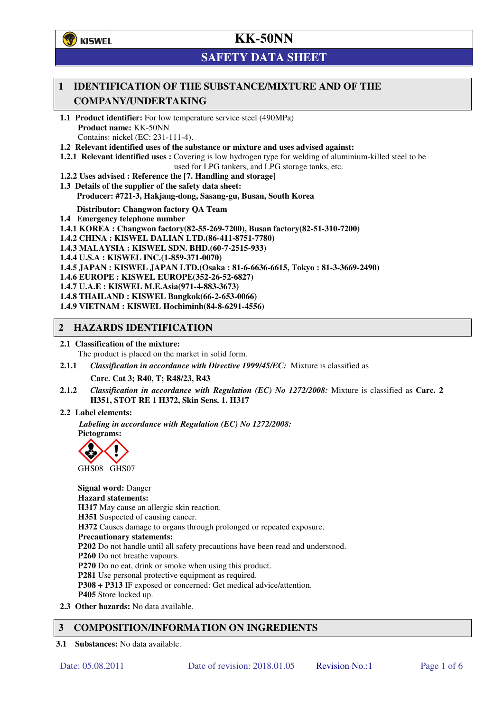**了**KISWEL

# **KK-50NN**

# **SAFETY DATA SHEET**

## **1 IDENTIFICATION OF THE SUBSTANCE/MIXTURE AND OF THE COMPANY/UNDERTAKING**

- **1.1 Product identifier:** For low temperature service steel (490MPa) **Product name:** KK-50NN Contains: nickel (EC: 231-111-4).
- **1.2 Relevant identified uses of the substance or mixture and uses advised against:**
- **1.2.1 Relevant identified uses :** Covering is low hydrogen type for welding of aluminium-killed steel to be used for LPG tankers, and LPG storage tanks, etc.
- **1.2.2 Uses advised : Reference the [7. Handling and storage]**
- **1.3 Details of the supplier of the safety data sheet: Producer: #721-3, Hakjang-dong, Sasang-gu, Busan, South Korea**

**Distributor: Changwon factory QA Team** 

- **1.4 Emergency telephone number**
- **1.4.1 KOREA : Changwon factory(82-55-269-7200), Busan factory(82-51-310-7200)**
- **1.4.2 CHINA : KISWEL DALIAN LTD.(86-411-8751-7780)**
- **1.4.3 MALAYSIA : KISWEL SDN. BHD.(60-7-2515-933)**
- **1.4.4 U.S.A : KISWEL INC.(1-859-371-0070)**
- **1.4.5 JAPAN : KISWEL JAPAN LTD.(Osaka : 81-6-6636-6615, Tokyo : 81-3-3669-2490)**
- **1.4.6 EUROPE : KISWEL EUROPE(352-26-52-6827)**
- **1.4.7 U.A.E : KISWEL M.E.Asia(971-4-883-3673)**
- **1.4.8 THAILAND : KISWEL Bangkok(66-2-653-0066)**
- **1.4.9 VIETNAM : KISWEL Hochiminh(84-8-6291-4556)**

### **2 HAZARDS IDENTIFICATION**

- **2.1 Classification of the mixture:** 
	- The product is placed on the market in solid form.
- **2.1.1** *Classification in accordance with Directive 1999/45/EC:* Mixture is classified as

**Carc. Cat 3; R40, T; R48/23, R43** 

- **2.1.2** *Classification in accordance with Regulation (EC) No 1272/2008:* Mixture is classified as **Carc. 2 H351, STOT RE 1 H372, Skin Sens. 1. H317**
- **2.2 Label elements:**

*Labeling in accordance with Regulation (EC) No 1272/2008:*  **Pictograms:** 



**Signal word:** Danger **Hazard statements: H317** May cause an allergic skin reaction. **H351** Suspected of causing cancer. **H372** Causes damage to organs through prolonged or repeated exposure. **Precautionary statements: P202** Do not handle until all safety precautions have been read and understood. **P260** Do not breathe vapours. **P270** Do no eat, drink or smoke when using this product. **P281** Use personal protective equipment as required. **P308 + P313** IF exposed or concerned: Get medical advice/attention. **P405** Store locked up. **2.3 Other hazards:** No data available.

## **3 COMPOSITION/INFORMATION ON INGREDIENTS**

**3.1 Substances:** No data available.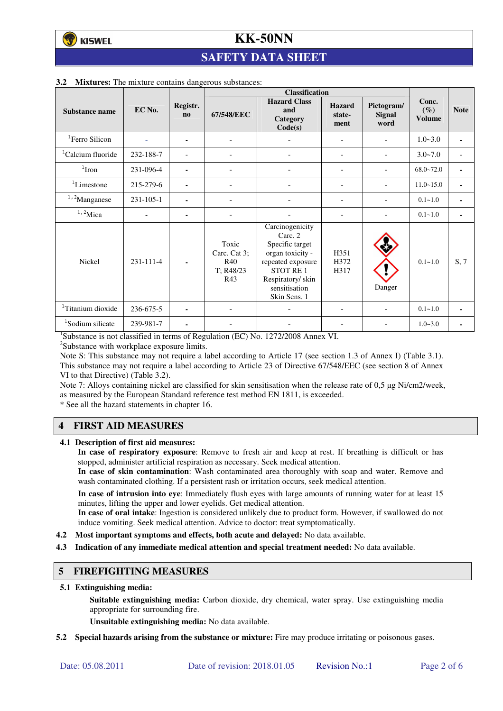## **SAFETY DATA SHEET**

|                               |                 |                       | <b>Classification</b>                            |                                                                                                                                                                |                                 |                                     |                                  |                |
|-------------------------------|-----------------|-----------------------|--------------------------------------------------|----------------------------------------------------------------------------------------------------------------------------------------------------------------|---------------------------------|-------------------------------------|----------------------------------|----------------|
| Substance name                | EC No.          | Registr.<br>$\bf{no}$ | 67/548/EEC                                       | <b>Hazard Class</b><br>and<br>Category<br>Code(s)                                                                                                              | <b>Hazard</b><br>state-<br>ment | Pictogram/<br><b>Signal</b><br>word | Conc.<br>$(\%)$<br><b>Volume</b> | <b>Note</b>    |
| ${}^{1}$ Ferro Silicon        |                 | ۰                     | $\overline{\phantom{a}}$                         |                                                                                                                                                                | ۰                               | -                                   | $1.0 - 3.0$                      | $\sim$         |
| <sup>1</sup> Calcium fluoride | 232-188-7       |                       |                                                  |                                                                                                                                                                |                                 |                                     | $3.0 - 7.0$                      | $\overline{a}$ |
| $1$ Iron                      | 231-096-4       |                       |                                                  |                                                                                                                                                                | $\equiv$                        |                                     | $68.0 - 72.0$                    | ٠              |
| ${}^{1}$ Limestone            | 215-279-6       | ۰                     | $\overline{a}$                                   |                                                                                                                                                                | ۰                               |                                     | $11.0 - 15.0$                    | ٠              |
| $1,2$ Manganese               | $231 - 105 - 1$ |                       |                                                  |                                                                                                                                                                |                                 |                                     | $0.1 - 1.0$                      |                |
| $1,2$ Mica                    | $\overline{a}$  | ۰                     | ÷,                                               |                                                                                                                                                                |                                 |                                     | $0.1 - 1.0$                      | ٠              |
| Nickel                        | 231-111-4       | $\blacksquare$        | Toxic<br>Carc. Cat 3;<br>R40<br>T: R48/23<br>R43 | Carcinogenicity<br>Carc. 2<br>Specific target<br>organ toxicity -<br>repeated exposure<br><b>STOT RE1</b><br>Respiratory/skin<br>sensitisation<br>Skin Sens. 1 | H351<br>H372<br>H317            | Danger                              | $0.1 - 1.0$                      | S, 7           |
| <sup>1</sup> Titanium dioxide | 236-675-5       |                       |                                                  |                                                                                                                                                                |                                 |                                     | $0.1 - 1.0$                      |                |
| <sup>1</sup> Sodium silicate  | 239-981-7       |                       |                                                  |                                                                                                                                                                |                                 |                                     | $1.0 - 3.0$                      |                |

#### **3.2 Mixtures:** The mixture contains dangerous substances:

<sup>1</sup>Substance is not classified in terms of Regulation (EC) No. 1272/2008 Annex VI.

<sup>2</sup>Substance with workplace exposure limits.

Note S: This substance may not require a label according to Article 17 (see section 1.3 of Annex I) (Table 3.1). This substance may not require a label according to Article 23 of Directive 67/548/EEC (see section 8 of Annex VI to that Directive) (Table 3.2).

Note 7: Alloys containing nickel are classified for skin sensitisation when the release rate of 0,5 µg Ni/cm2/week, as measured by the European Standard reference test method EN 1811, is exceeded.

\* See all the hazard statements in chapter 16.

## **4 FIRST AID MEASURES**

**4.1 Description of first aid measures:** 

**In case of respiratory exposure**: Remove to fresh air and keep at rest. If breathing is difficult or has stopped, administer artificial respiration as necessary. Seek medical attention.

**In case of skin contamination**: Wash contaminated area thoroughly with soap and water. Remove and wash contaminated clothing. If a persistent rash or irritation occurs, seek medical attention.

 **In case of intrusion into eye**: Immediately flush eyes with large amounts of running water for at least 15 minutes, lifting the upper and lower eyelids. Get medical attention.

**In case of oral intake**: Ingestion is considered unlikely due to product form. However, if swallowed do not induce vomiting. Seek medical attention. Advice to doctor: treat symptomatically.

- **4.2 Most important symptoms and effects, both acute and delayed:** No data available.
- **4.3 Indication of any immediate medical attention and special treatment needed:** No data available.

#### **5 FIREFIGHTING MEASURES**

**5.1 Extinguishing media:** 

**Suitable extinguishing media:** Carbon dioxide, dry chemical, water spray. Use extinguishing media appropriate for surrounding fire.

**Unsuitable extinguishing media:** No data available.

**5.2 Special hazards arising from the substance or mixture:** Fire may produce irritating or poisonous gases.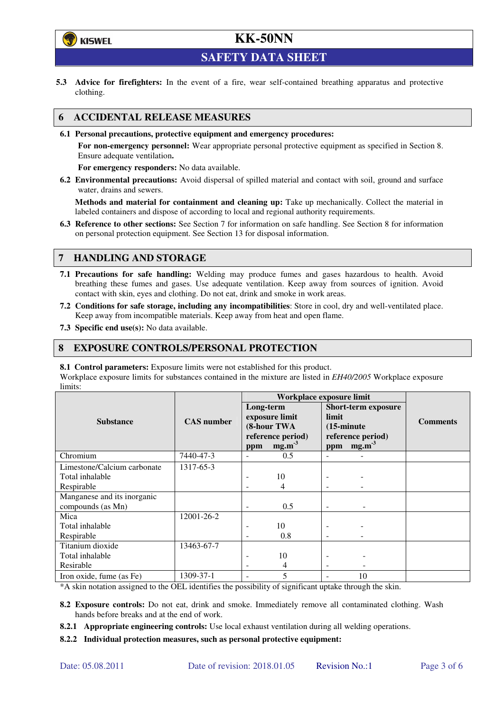

**SAFETY DATA SHEET** 

**5.3 Advice for firefighters:** In the event of a fire, wear self-contained breathing apparatus and protective clothing.

## **6 ACCIDENTAL RELEASE MEASURES**

**6.1 Personal precautions, protective equipment and emergency procedures:** 

**For non-emergency personnel:** Wear appropriate personal protective equipment as specified in Section 8. Ensure adequate ventilation**.** 

**For emergency responders:** No data available.

**6.2 Environmental precautions:** Avoid dispersal of spilled material and contact with soil, ground and surface water, drains and sewers.

**Methods and material for containment and cleaning up:** Take up mechanically. Collect the material in labeled containers and dispose of according to local and regional authority requirements.

**6.3 Reference to other sections:** See Section 7 for information on safe handling. See Section 8 for information on personal protection equipment. See Section 13 for disposal information.

## **7 HANDLING AND STORAGE**

- **7.1 Precautions for safe handling:** Welding may produce fumes and gases hazardous to health. Avoid breathing these fumes and gases. Use adequate ventilation. Keep away from sources of ignition. Avoid contact with skin, eyes and clothing. Do not eat, drink and smoke in work areas.
- **7.2 Conditions for safe storage, including any incompatibilities**: Store in cool, dry and well-ventilated place. Keep away from incompatible materials. Keep away from heat and open flame.
- **7.3 Specific end use(s):** No data available.

### **8 EXPOSURE CONTROLS/PERSONAL PROTECTION**

**8.1 Control parameters:** Exposure limits were not established for this product.

Workplace exposure limits for substances contained in the mixture are listed in *EH40/2005* Workplace exposure limits:

|                             | <b>CAS</b> number | Workplace exposure limit                                        |                   |                                                                                  |                   |                 |  |
|-----------------------------|-------------------|-----------------------------------------------------------------|-------------------|----------------------------------------------------------------------------------|-------------------|-----------------|--|
|                             |                   | Long-term<br>exposure limit<br>(8-hour TWA<br>reference period) |                   | <b>Short-term exposure</b><br>limit<br>$(15\text{-minute})$<br>reference period) |                   | <b>Comments</b> |  |
| <b>Substance</b>            |                   |                                                                 |                   |                                                                                  |                   |                 |  |
|                             |                   |                                                                 |                   |                                                                                  |                   |                 |  |
|                             |                   |                                                                 |                   |                                                                                  |                   |                 |  |
|                             |                   | ppm                                                             | mg.m <sup>3</sup> | ppm                                                                              | mg.m <sup>3</sup> |                 |  |
| Chromium                    | 7440-47-3         |                                                                 | 0.5               |                                                                                  |                   |                 |  |
| Limestone/Calcium carbonate | 1317-65-3         |                                                                 |                   |                                                                                  |                   |                 |  |
| Total inhalable             |                   |                                                                 | 10                |                                                                                  |                   |                 |  |
| Respirable                  |                   |                                                                 | 4                 |                                                                                  |                   |                 |  |
| Manganese and its inorganic |                   |                                                                 |                   |                                                                                  |                   |                 |  |
| compounds (as Mn)           |                   |                                                                 | 0.5               |                                                                                  |                   |                 |  |
| Mica                        | 12001-26-2        |                                                                 |                   |                                                                                  |                   |                 |  |
| Total inhalable             |                   |                                                                 | 10                |                                                                                  |                   |                 |  |
| Respirable                  |                   |                                                                 | 0.8               |                                                                                  |                   |                 |  |
| Titanium dioxide            | 13463-67-7        |                                                                 |                   |                                                                                  |                   |                 |  |
| Total inhalable             |                   |                                                                 | 10                |                                                                                  |                   |                 |  |
| Resirable                   |                   |                                                                 | 4                 | $\overline{\phantom{a}}$                                                         |                   |                 |  |
| Iron oxide, fume (as Fe)    | 1309-37-1         |                                                                 | 5                 |                                                                                  | 10                |                 |  |

\*A skin notation assigned to the OEL identifies the possibility of significant uptake through the skin.

- **8.2 Exposure controls:** Do not eat, drink and smoke. Immediately remove all contaminated clothing. Wash hands before breaks and at the end of work.
- **8.2.1 Appropriate engineering controls:** Use local exhaust ventilation during all welding operations.

**8.2.2 Individual protection measures, such as personal protective equipment:**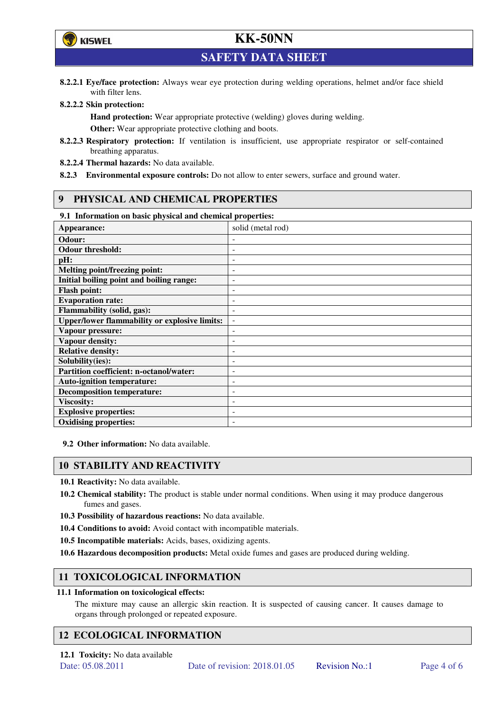

**SAFETY DATA SHEET** 

**8.2.2.1 Eye/face protection:** Always wear eye protection during welding operations, helmet and/or face shield with filter lens.

#### **8.2.2.2 Skin protection:**

**Hand protection:** Wear appropriate protective (welding) gloves during welding. **Other:** Wear appropriate protective clothing and boots.

- **8.2.2.3 Respiratory protection:** If ventilation is insufficient, use appropriate respirator or self-contained breathing apparatus.
- **8.2.2.4 Thermal hazards:** No data available.
- **8.2.3 Environmental exposure controls:** Do not allow to enter sewers, surface and ground water.

### **9 PHYSICAL AND CHEMICAL PROPERTIES**

#### **9.1 Information on basic physical and chemical properties:**

| our amoramunon on ousie physical und encancen properties.<br>Appearance: | solid (metal rod)        |
|--------------------------------------------------------------------------|--------------------------|
| Odour:                                                                   |                          |
| <b>Odour threshold:</b>                                                  |                          |
| pH:                                                                      |                          |
| <b>Melting point/freezing point:</b>                                     | -                        |
| Initial boiling point and boiling range:                                 | $\qquad \qquad -$        |
| <b>Flash point:</b>                                                      |                          |
| <b>Evaporation rate:</b>                                                 |                          |
| <b>Flammability (solid, gas):</b>                                        |                          |
| <b>Upper/lower flammability or explosive limits:</b>                     | $\overline{\phantom{a}}$ |
| Vapour pressure:                                                         | ۰                        |
| Vapour density:                                                          |                          |
| <b>Relative density:</b>                                                 |                          |
| Solubility(ies):                                                         |                          |
| Partition coefficient: n-octanol/water:                                  | $\overline{a}$           |
| <b>Auto-ignition temperature:</b>                                        | -                        |
| <b>Decomposition temperature:</b>                                        |                          |
| <b>Viscosity:</b>                                                        |                          |
| <b>Explosive properties:</b>                                             | ۰                        |
| <b>Oxidising properties:</b>                                             |                          |

**9.2 Other information:** No data available.

### **10 STABILITY AND REACTIVITY**

**10.1 Reactivity:** No data available.

- **10.2 Chemical stability:** The product is stable under normal conditions. When using it may produce dangerous fumes and gases.
- **10.3 Possibility of hazardous reactions:** No data available.
- **10.4 Conditions to avoid:** Avoid contact with incompatible materials.
- **10.5 Incompatible materials:** Acids, bases, oxidizing agents.
- **10.6 Hazardous decomposition products:** Metal oxide fumes and gases are produced during welding.

## **11 TOXICOLOGICAL INFORMATION**

#### **11.1 Information on toxicological effects:**

The mixture may cause an allergic skin reaction. It is suspected of causing cancer. It causes damage to organs through prolonged or repeated exposure.

## **12 ECOLOGICAL INFORMATION**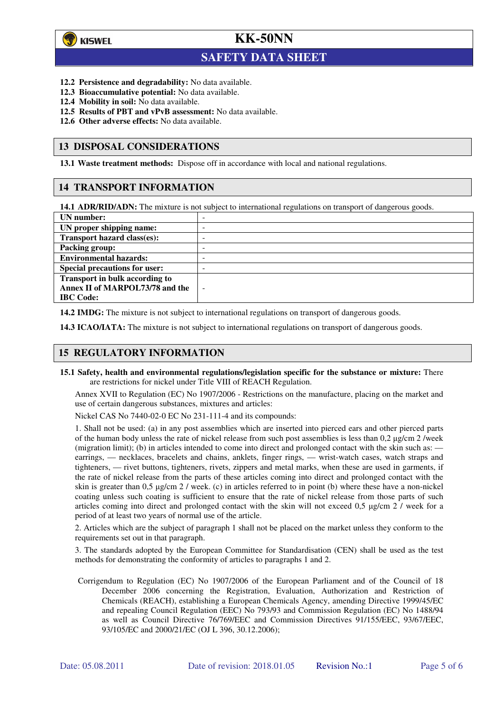

 $\overline{a}$ 

## **KK-50NN**

## **SAFETY DATA SHEET**

- **12.2 Persistence and degradability:** No data available.
- **12.3 Bioaccumulative potential:** No data available.
- **12.4 Mobility in soil:** No data available.
- **12.5 Results of PBT and vPvB assessment:** No data available.
- **12.6 Other adverse effects:** No data available.

### **13 DISPOSAL CONSIDERATIONS**

**13.1 Waste treatment methods:** Dispose off in accordance with local and national regulations.

### **14 TRANSPORT INFORMATION**

**14.1 ADR/RID/ADN:** The mixture is not subject to international regulations on transport of dangerous goods.

| UN number:                           | - |
|--------------------------------------|---|
| UN proper shipping name:             | - |
| Transport hazard class(es):          | - |
| <b>Packing group:</b>                | - |
| <b>Environmental hazards:</b>        | - |
| <b>Special precautions for user:</b> | - |
| Transport in bulk according to       |   |
| Annex II of MARPOL73/78 and the      | ÷ |
| <b>IBC</b> Code:                     |   |

**14.2 IMDG:** The mixture is not subject to international regulations on transport of dangerous goods.

**14.3 ICAO/IATA:** The mixture is not subject to international regulations on transport of dangerous goods.

## **15 REGULATORY INFORMATION**

**15.1 Safety, health and environmental regulations/legislation specific for the substance or mixture:** There are restrictions for nickel under Title VIII of REACH Regulation.

Annex XVII to Regulation (EC) No 1907/2006 - Restrictions on the manufacture, placing on the market and use of certain dangerous substances, mixtures and articles:

Nickel CAS No 7440-02-0 EC No 231-111-4 and its compounds:

1. Shall not be used: (a) in any post assemblies which are inserted into pierced ears and other pierced parts of the human body unless the rate of nickel release from such post assemblies is less than  $0.2 \mu$ g/cm  $2$ /week (migration limit); (b) in articles intended to come into direct and prolonged contact with the skin such as: earrings, — necklaces, bracelets and chains, anklets, finger rings, — wrist-watch cases, watch straps and tighteners, — rivet buttons, tighteners, rivets, zippers and metal marks, when these are used in garments, if the rate of nickel release from the parts of these articles coming into direct and prolonged contact with the skin is greater than 0,5 µg/cm 2 / week. (c) in articles referred to in point (b) where these have a non-nickel coating unless such coating is sufficient to ensure that the rate of nickel release from those parts of such articles coming into direct and prolonged contact with the skin will not exceed 0,5 µg/cm 2 / week for a period of at least two years of normal use of the article.

2. Articles which are the subject of paragraph 1 shall not be placed on the market unless they conform to the requirements set out in that paragraph.

3. The standards adopted by the European Committee for Standardisation (CEN) shall be used as the test methods for demonstrating the conformity of articles to paragraphs 1 and 2.

Corrigendum to Regulation (EC) No 1907/2006 of the European Parliament and of the Council of 18 December 2006 concerning the Registration, Evaluation, Authorization and Restriction of Chemicals (REACH), establishing a European Chemicals Agency, amending Directive 1999/45/EC and repealing Council Regulation (EEC) No 793/93 and Commission Regulation (EC) No 1488/94 as well as Council Directive 76/769/EEC and Commission Directives 91/155/EEC, 93/67/EEC, 93/105/EC and 2000/21/EC (OJ L 396, 30.12.2006);